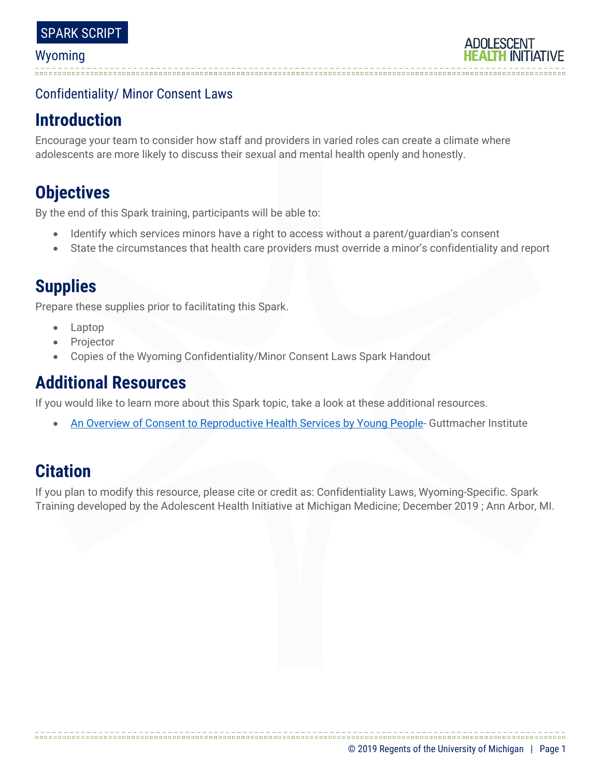### Confidentiality/ Minor Consent Laws

# **Introduction**

Encourage your team to consider how staff and providers in varied roles can create a climate where adolescents are more likely to discuss their sexual and mental health openly and honestly.

# **Objectives**

By the end of this Spark training, participants will be able to:

- Identify which services minors have a right to access without a parent/guardian's consent
- State the circumstances that health care providers must override a minor's confidentiality and report

# **Supplies**

Prepare these supplies prior to facilitating this Spark.

- Laptop
- **Projector**
- Copies of the Wyoming Confidentiality/Minor Consent Laws Spark Handout

## **Additional Resources**

If you would like to learn more about this Spark topic, take a look at these additional resources.

• [An Overview of Consent to Reproductive Health Services by Young People-](https://www.guttmacher.org/state-policy/explore/overview-minors-consent-law) Guttmacher Institute

# **Citation**

If you plan to modify this resource, please cite or credit as: Confidentiality Laws, Wyoming-Specific. Spark Training developed by the Adolescent Health Initiative at Michigan Medicine; December 2019 ; Ann Arbor, MI.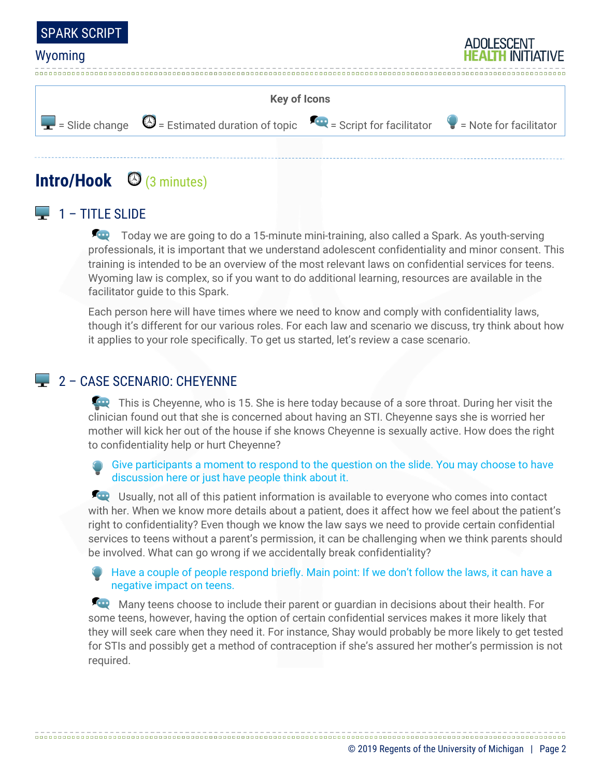



## **Intro/Hook** (3 minutes)

### $\Box$  1 – TITLE SLIDE

Today we are going to do a 15-minute mini-training, also called a Spark. As youth-serving professionals, it is important that we understand adolescent confidentiality and minor consent. This training is intended to be an overview of the most relevant laws on confidential services for teens. Wyoming law is complex, so if you want to do additional learning, resources are available in the facilitator guide to this Spark.

Each person here will have times where we need to know and comply with confidentiality laws, though it's different for our various roles. For each law and scenario we discuss, try think about how it applies to your role specifically. To get us started, let's review a case scenario.

### 2 - CASE SCENARIO: CHEYENNE

This is Cheyenne, who is 15. She is here today because of a sore throat. During her visit the clinician found out that she is concerned about having an STI. Cheyenne says she is worried her mother will kick her out of the house if she knows Cheyenne is sexually active. How does the right to confidentiality help or hurt Cheyenne?

#### Give participants a moment to respond to the question on the slide. You may choose to have discussion here or just have people think about it.

**EXECO** Usually, not all of this patient information is available to everyone who comes into contact with her. When we know more details about a patient, does it affect how we feel about the patient's right to confidentiality? Even though we know the law says we need to provide certain confidential services to teens without a parent's permission, it can be challenging when we think parents should be involved. What can go wrong if we accidentally break confidentiality?

Have a couple of people respond briefly. Main point: If we don't follow the laws, it can have a negative impact on teens.

Many teens choose to include their parent or guardian in decisions about their health. For some teens, however, having the option of certain confidential services makes it more likely that they will seek care when they need it. For instance, Shay would probably be more likely to get tested for STIs and possibly get a method of contraception if she's assured her mother's permission is not required.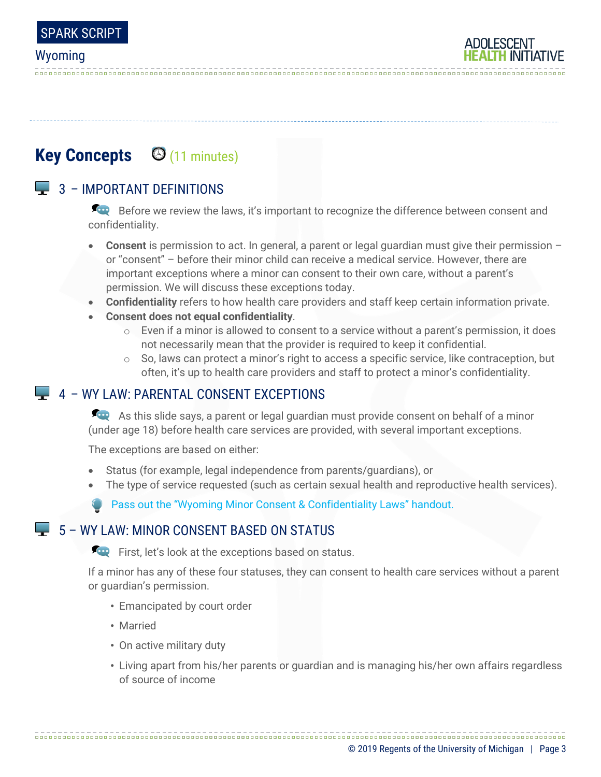# **Key Concepts**  $\Theta$  **(11 minutes)**

## $\Box$  3 – IMPORTANT DEFINITIONS

Before we review the laws, it's important to recognize the difference between consent and confidentiality.

- **Consent** is permission to act. In general, a parent or legal guardian must give their permission or "consent" – before their minor child can receive a medical service. However, there are important exceptions where a minor can consent to their own care, without a parent's permission. We will discuss these exceptions today.
- **Confidentiality** refers to how health care providers and staff keep certain information private.
- **Consent does not equal confidentiality**.
	- $\circ$  Even if a minor is allowed to consent to a service without a parent's permission, it does not necessarily mean that the provider is required to keep it confidential.
	- $\circ$  So, laws can protect a minor's right to access a specific service, like contraception, but often, it's up to health care providers and staff to protect a minor's confidentiality.

### 4 – WY LAW: PARENTAL CONSENT EXCEPTIONS

As this slide says, a parent or legal guardian must provide consent on behalf of a minor (under age 18) before health care services are provided, with several important exceptions.

The exceptions are based on either:

- Status (for example, legal independence from parents/guardians), or
- The type of service requested (such as certain sexual health and reproductive health services).

Pass out the "Wyoming Minor Consent & Confidentiality Laws" handout.

### $\Box$  5 – WY LAW: MINOR CONSENT BASED ON STATUS

First, let's look at the exceptions based on status.

If a minor has any of these four statuses, they can consent to health care services without a parent or guardian's permission.

- Emancipated by court order
- Married
- On active military duty
- Living apart from his/her parents or guardian and is managing his/her own affairs regardless of source of income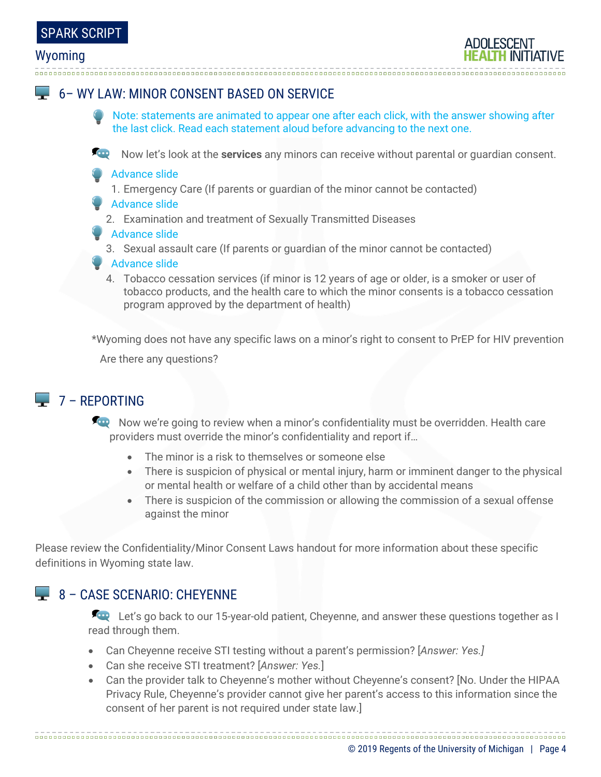## 6– WY LAW: MINOR CONSENT BASED ON SERVICE

- Note: statements are animated to appear one after each click, with the answer showing after the last click. Read each statement aloud before advancing to the next one.
- Now let's look at the **services** any minors can receive without parental or guardian consent.
- Advance slide
	- 1. Emergency Care (If parents or guardian of the minor cannot be contacted)
- Advance slide
	- 2. Examination and treatment of Sexually Transmitted Diseases
- **Advance slide** 
	- 3. Sexual assault care (If parents or guardian of the minor cannot be contacted)
- **Advance slide** 
	- 4. Tobacco cessation services (if minor is 12 years of age or older, is a smoker or user of tobacco products, and the health care to which the minor consents is a tobacco cessation program approved by the department of health)

\*Wyoming does not have any specific laws on a minor's right to consent to PrEP for HIV prevention Are there any questions?

### $\Box$  7 – REPORTING

Now we're going to review when a minor's confidentiality must be overridden. Health care providers must override the minor's confidentiality and report if…

- The minor is a risk to themselves or someone else
- There is suspicion of physical or mental injury, harm or imminent danger to the physical or mental health or welfare of a child other than by accidental means
- There is suspicion of the commission or allowing the commission of a sexual offense against the minor

Please review the Confidentiality/Minor Consent Laws handout for more information about these specific definitions in Wyoming state law.

### 8 – CASE SCENARIO: CHEYENNE

Let's go back to our 15-year-old patient, Cheyenne, and answer these questions together as I read through them.

- Can Cheyenne receive STI testing without a parent's permission? [*Answer: Yes.]*
- Can she receive STI treatment? [*Answer: Yes.*]
- Can the provider talk to Cheyenne's mother without Cheyenne's consent? [No. Under the HIPAA Privacy Rule, Cheyenne's provider cannot give her parent's access to this information since the consent of her parent is not required under state law.]

© 2019 Regents of the University of Michigan | Page 4